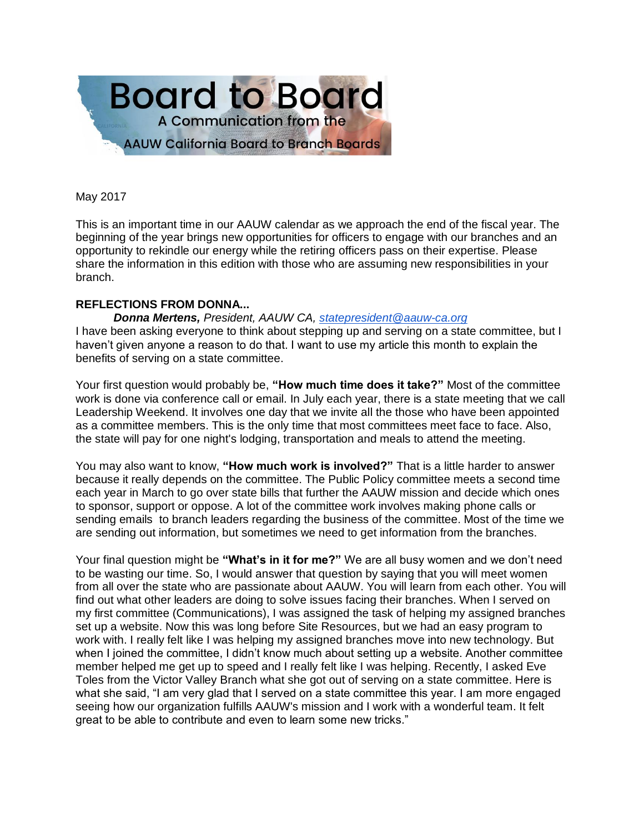

May 2017

This is an important time in our AAUW calendar as we approach the end of the fiscal year. The beginning of the year brings new opportunities for officers to engage with our branches and an opportunity to rekindle our energy while the retiring officers pass on their expertise. Please share the information in this edition with those who are assuming new responsibilities in your branch.

# **REFLECTIONS FROM DONNA...**

*Donna Mertens, President, AAUW CA, [statepresident@aauw-ca.org](mailto:statepresident@aauw-ca.org)* I have been asking everyone to think about stepping up and serving on a state committee, but I haven't given anyone a reason to do that. I want to use my article this month to explain the benefits of serving on a state committee.

Your first question would probably be, **"How much time does it take?"** Most of the committee work is done via conference call or email. In July each year, there is a state meeting that we call Leadership Weekend. It involves one day that we invite all the those who have been appointed as a committee members. This is the only time that most committees meet face to face. Also, the state will pay for one night's lodging, transportation and meals to attend the meeting.

You may also want to know, **"How much work is involved?"** That is a little harder to answer because it really depends on the committee. The Public Policy committee meets a second time each year in March to go over state bills that further the AAUW mission and decide which ones to sponsor, support or oppose. A lot of the committee work involves making phone calls or sending emails to branch leaders regarding the business of the committee. Most of the time we are sending out information, but sometimes we need to get information from the branches.

Your final question might be **"What's in it for me?"** We are all busy women and we don't need to be wasting our time. So, I would answer that question by saying that you will meet women from all over the state who are passionate about AAUW. You will learn from each other. You will find out what other leaders are doing to solve issues facing their branches. When I served on my first committee (Communications), I was assigned the task of helping my assigned branches set up a website. Now this was long before Site Resources, but we had an easy program to work with. I really felt like I was helping my assigned branches move into new technology. But when I joined the committee, I didn't know much about setting up a website. Another committee member helped me get up to speed and I really felt like I was helping. Recently, I asked Eve Toles from the Victor Valley Branch what she got out of serving on a state committee. Here is what she said, "I am very glad that I served on a state committee this year. I am more engaged seeing how our organization fulfills AAUW's mission and I work with a wonderful team. It felt great to be able to contribute and even to learn some new tricks."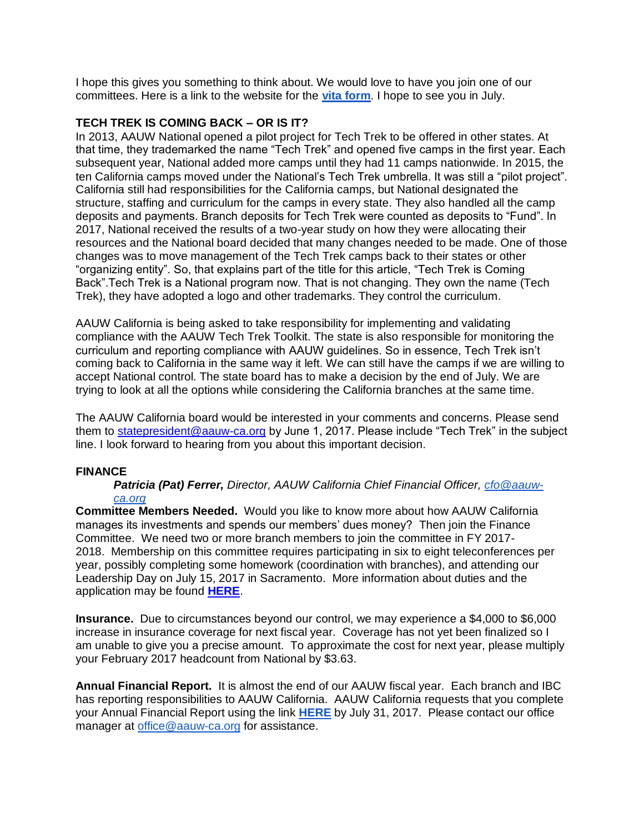I hope this gives you something to think about. We would love to have you join one of our committees. Here is a link to the website for the **[vita form](http://www.aauw-ca.org/join-the-board/)**. I hope to see you in July.

### **TECH TREK IS COMING BACK – OR IS IT?**

In 2013, AAUW National opened a pilot project for Tech Trek to be offered in other states. At that time, they trademarked the name "Tech Trek" and opened five camps in the first year. Each subsequent year, National added more camps until they had 11 camps nationwide. In 2015, the ten California camps moved under the National's Tech Trek umbrella. It was still a "pilot project". California still had responsibilities for the California camps, but National designated the structure, staffing and curriculum for the camps in every state. They also handled all the camp deposits and payments. Branch deposits for Tech Trek were counted as deposits to "Fund". In 2017, National received the results of a two-year study on how they were allocating their resources and the National board decided that many changes needed to be made. One of those changes was to move management of the Tech Trek camps back to their states or other "organizing entity". So, that explains part of the title for this article, "Tech Trek is Coming Back".Tech Trek is a National program now. That is not changing. They own the name (Tech Trek), they have adopted a logo and other trademarks. They control the curriculum.

AAUW California is being asked to take responsibility for implementing and validating compliance with the AAUW Tech Trek Toolkit. The state is also responsible for monitoring the curriculum and reporting compliance with AAUW guidelines. So in essence, Tech Trek isn't coming back to California in the same way it left. We can still have the camps if we are willing to accept National control. The state board has to make a decision by the end of July. We are trying to look at all the options while considering the California branches at the same time.

The AAUW California board would be interested in your comments and concerns. Please send them to [statepresident@aauw-ca.org](mailto:statepresident@aauw-ca.org) by June 1, 2017. Please include "Tech Trek" in the subject line. I look forward to hearing from you about this important decision.

#### **FINANCE**

*Patricia (Pat) Ferrer, Director, AAUW California Chief Financial Officer, [cfo@aauw](mailto:cfo@aauw-ca.org)[ca.org](mailto:cfo@aauw-ca.org)*

**Committee Members Needed.** Would you like to know more about how AAUW California manages its investments and spends our members' dues money? Then join the Finance Committee. We need two or more branch members to join the committee in FY 2017- 2018. Membership on this committee requires participating in six to eight teleconferences per year, possibly completing some homework (coordination with branches), and attending our Leadership Day on July 15, 2017 in Sacramento. More information about duties and the application may be found **[HERE](http://www.aauw-ca.org/join-the-board/)**.

**Insurance.** Due to circumstances beyond our control, we may experience a \$4,000 to \$6,000 increase in insurance coverage for next fiscal year. Coverage has not yet been finalized so I am unable to give you a precise amount. To approximate the cost for next year, please multiply your February 2017 headcount from National by \$3.63.

**Annual Financial Report.** It is almost the end of our AAUW fiscal year. Each branch and IBC has reporting responsibilities to AAUW California. AAUW California requests that you complete your Annual Financial Report using the link **[HERE](http://www.aauw-ca.org/annual-financial-report/)** by July 31, 2017. Please contact our office manager at [office@aauw-ca.org](mailto:office@aauw-ca.org) for assistance.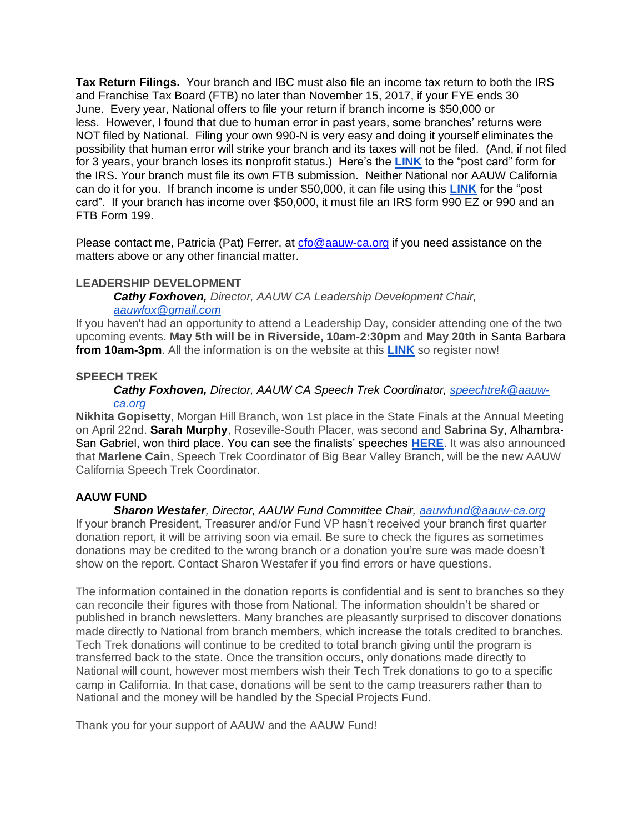**Tax Return Filings.** Your branch and IBC must also file an income tax return to both the IRS and Franchise Tax Board (FTB) no later than November 15, 2017, if your FYE ends 30 June. Every year, National offers to file your return if branch income is \$50,000 or less. However, I found that due to human error in past years, some branches' returns were NOT filed by National. Filing your own 990-N is very easy and doing it yourself eliminates the possibility that human error will strike your branch and its taxes will not be filed. (And, if not filed for 3 years, your branch loses its nonprofit status.) Here's the **[LINK](https://www.irs.gov/charities-non-profits/annual-electronic-filing-requirement-for-small-exempt-organizations-form-990-n-e-postcard)** to the "post card" form for the IRS. Your branch must file its own FTB submission. Neither National nor AAUW California can do it for you. If branch income is under \$50,000, it can file using this **[LINK](https://www.ftb.ca.gov/online/199N_ePostcard/)** for the "post card". If your branch has income over \$50,000, it must file an IRS form 990 EZ or 990 and an FTB Form 199.

Please contact me, Patricia (Pat) Ferrer, at [cfo@aauw-ca.org](mailto:cfo@aauw-ca.org) if you need assistance on the matters above or any other financial matter.

### **LEADERSHIP DEVELOPMENT**

*Cathy Foxhoven, Director, AAUW CA Leadership Development Chair,*

# *[aauwfox@gmail.com](mailto:aauwfox@gmail.com)*

If you haven't had an opportunity to attend a Leadership Day, consider attending one of the two upcoming events. **May 5th will be in Riverside, 10am-2:30pm** and **May 20th** in Santa Barbara **from 10am-3pm**. All the information is on the website at this **[LINK](http://www.aauw-ca.org/aauw-california-leadership-days-2017/)** so register now!

### **SPEECH TREK**

### *Cathy Foxhoven, Director, AAUW CA Speech Trek Coordinator, [speechtrek@aauw](mailto:speechtrek@aauw-ca.org)[ca.org](mailto:speechtrek@aauw-ca.org)*

**Nikhita Gopisetty**, Morgan Hill Branch, won 1st place in the State Finals at the Annual Meeting on April 22nd. **Sarah Murphy**, Roseville-South Placer, was second and **Sabrina Sy**, Alhambra-San Gabriel, won third place. You can see the finalists' speeches **[HERE](http://www.aauw-ca.org/congratulations-2016-2017-speech-trek-finalists/)**. It was also announced that **Marlene Cain**, Speech Trek Coordinator of Big Bear Valley Branch, will be the new AAUW California Speech Trek Coordinator.

# **AAUW FUND**

*Sharon Westafer, Director, AAUW Fund Committee Chair, [aauwfund@aauw-ca.org](mailto:aauwfund@aauw-ca.org)* If your branch President, Treasurer and/or Fund VP hasn't received your branch first quarter donation report, it will be arriving soon via email. Be sure to check the figures as sometimes donations may be credited to the wrong branch or a donation you're sure was made doesn't show on the report. Contact Sharon Westafer if you find errors or have questions.

The information contained in the donation reports is confidential and is sent to branches so they can reconcile their figures with those from National. The information shouldn't be shared or published in branch newsletters. Many branches are pleasantly surprised to discover donations made directly to National from branch members, which increase the totals credited to branches. Tech Trek donations will continue to be credited to total branch giving until the program is transferred back to the state. Once the transition occurs, only donations made directly to National will count, however most members wish their Tech Trek donations to go to a specific camp in California. In that case, donations will be sent to the camp treasurers rather than to National and the money will be handled by the Special Projects Fund.

Thank you for your support of AAUW and the AAUW Fund!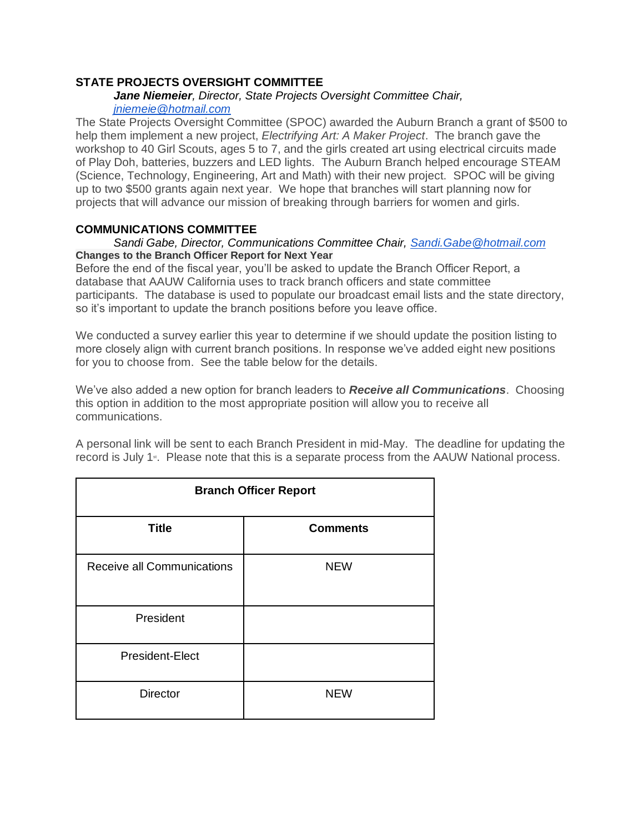# **STATE PROJECTS OVERSIGHT COMMITTEE**

#### *Jane Niemeier, Director, State Projects Oversight Committee Chair,*

### *[jniemeie@hotmail.com](mailto:jniemeie@hotmail.com)*

The State Projects Oversight Committee (SPOC) awarded the Auburn Branch a grant of \$500 to help them implement a new project, *Electrifying Art: A Maker Project*. The branch gave the workshop to 40 Girl Scouts, ages 5 to 7, and the girls created art using electrical circuits made of Play Doh, batteries, buzzers and LED lights. The Auburn Branch helped encourage STEAM (Science, Technology, Engineering, Art and Math) with their new project. SPOC will be giving up to two \$500 grants again next year. We hope that branches will start planning now for projects that will advance our mission of breaking through barriers for women and girls.

### **COMMUNICATIONS COMMITTEE**

#### *Sandi Gabe, Director, Communications Committee Chair, [Sandi.Gabe@hotmail.com](mailto:Sandi.Gabe@hotmail.com)* **Changes to the Branch Officer Report for Next Year**

Before the end of the fiscal year, you'll be asked to update the Branch Officer Report, a database that AAUW California uses to track branch officers and state committee participants. The database is used to populate our broadcast email lists and the state directory, so it's important to update the branch positions before you leave office.

We conducted a survey earlier this year to determine if we should update the position listing to more closely align with current branch positions. In response we've added eight new positions for you to choose from. See the table below for the details.

We've also added a new option for branch leaders to *Receive all Communications*. Choosing this option in addition to the most appropriate position will allow you to receive all communications.

A personal link will be sent to each Branch President in mid-May. The deadline for updating the record is July 1<sup>st</sup>. Please note that this is a separate process from the AAUW National process.

| <b>Branch Officer Report</b> |                 |
|------------------------------|-----------------|
| <b>Title</b>                 | <b>Comments</b> |
| Receive all Communications   | <b>NEW</b>      |
| President                    |                 |
| President-Elect              |                 |
| <b>Director</b>              | <b>NEW</b>      |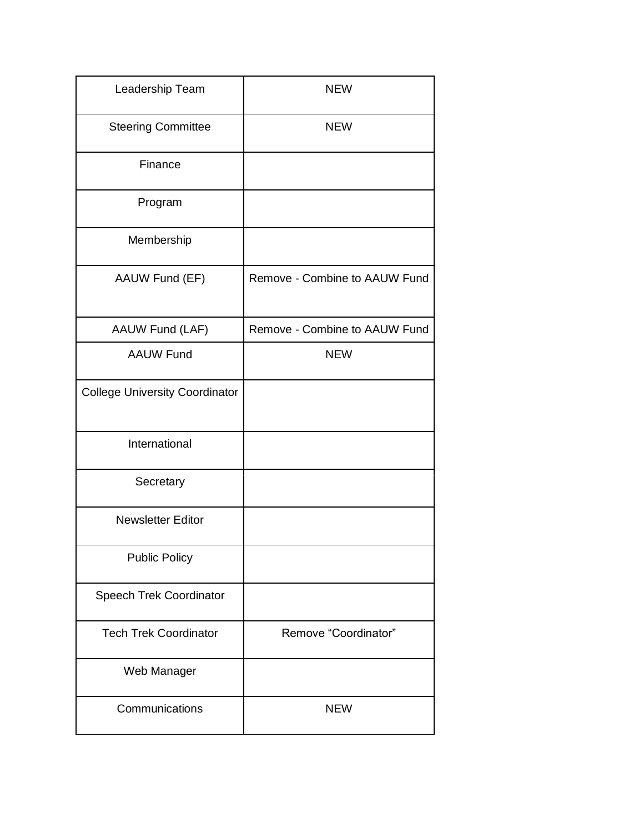| Leadership Team                       | <b>NEW</b>                    |
|---------------------------------------|-------------------------------|
| <b>Steering Committee</b>             | <b>NEW</b>                    |
| Finance                               |                               |
| Program                               |                               |
| Membership                            |                               |
| AAUW Fund (EF)                        | Remove - Combine to AAUW Fund |
| AAUW Fund (LAF)                       | Remove - Combine to AAUW Fund |
| <b>AAUW Fund</b>                      | <b>NEW</b>                    |
| <b>College University Coordinator</b> |                               |
| International                         |                               |
| Secretary                             |                               |
| <b>Newsletter Editor</b>              |                               |
| <b>Public Policy</b>                  |                               |
| <b>Speech Trek Coordinator</b>        |                               |
| <b>Tech Trek Coordinator</b>          | Remove "Coordinator"          |
| Web Manager                           |                               |
| Communications                        | <b>NEW</b>                    |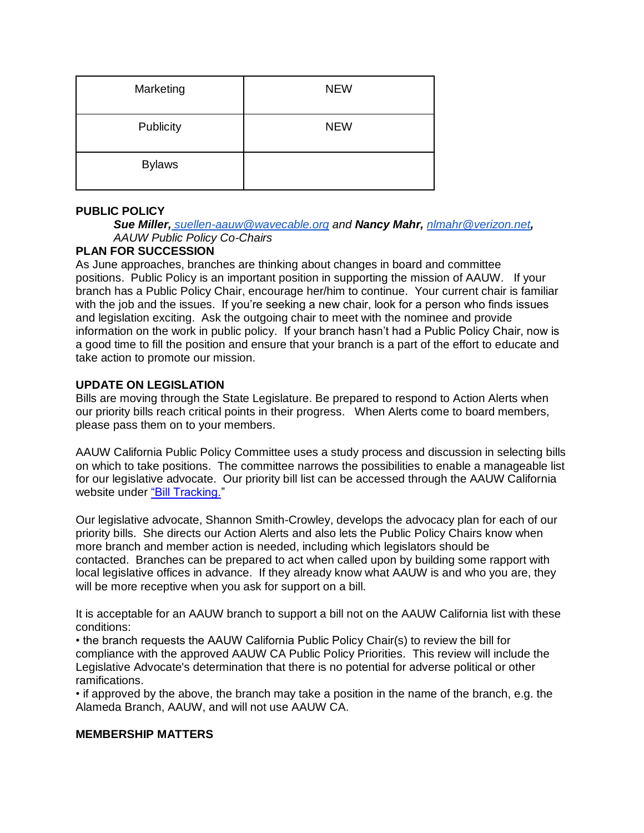| Marketing     | <b>NEW</b> |
|---------------|------------|
| Publicity     | <b>NEW</b> |
| <b>Bylaws</b> |            |

# **PUBLIC POLICY**

*Sue Miller, [suellen-aauw@wavecable.org](mailto:suellen-aauw@wavecable.org) and Nancy Mahr, [nlmahr@verizon.net](mailto:nlmahr@verizon.net), AAUW Public Policy Co-Chairs*

# **PLAN FOR SUCCESSION**

As June approaches, branches are thinking about changes in board and committee positions. Public Policy is an important position in supporting the mission of AAUW. If your branch has a Public Policy Chair, encourage her/him to continue. Your current chair is familiar with the job and the issues. If you're seeking a new chair, look for a person who finds issues and legislation exciting. Ask the outgoing chair to meet with the nominee and provide information on the work in public policy. If your branch hasn't had a Public Policy Chair, now is a good time to fill the position and ensure that your branch is a part of the effort to educate and take action to promote our mission.

# **UPDATE ON LEGISLATION**

Bills are moving through the State Legislature. Be prepared to respond to Action Alerts when our priority bills reach critical points in their progress. When Alerts come to board members, please pass them on to your members.

AAUW California Public Policy Committee uses a study process and discussion in selecting bills on which to take positions. The committee narrows the possibilities to enable a manageable list for our legislative advocate. Our priority bill list can be accessed through the AAUW California website under ["Bill Tracking."](http://www.aauw-ca.org/bill-tracking/)

Our legislative advocate, Shannon Smith-Crowley, develops the advocacy plan for each of our priority bills. She directs our Action Alerts and also lets the Public Policy Chairs know when more branch and member action is needed, including which legislators should be contacted. Branches can be prepared to act when called upon by building some rapport with local legislative offices in advance. If they already know what AAUW is and who you are, they will be more receptive when you ask for support on a bill.

It is acceptable for an AAUW branch to support a bill not on the AAUW California list with these conditions:

• the branch requests the AAUW California Public Policy Chair(s) to review the bill for compliance with the approved AAUW CA Public Policy Priorities. This review will include the Legislative Advocate's determination that there is no potential for adverse political or other ramifications.

• if approved by the above, the branch may take a position in the name of the branch, e.g. the Alameda Branch, AAUW, and will not use AAUW CA.

#### **MEMBERSHIP MATTERS**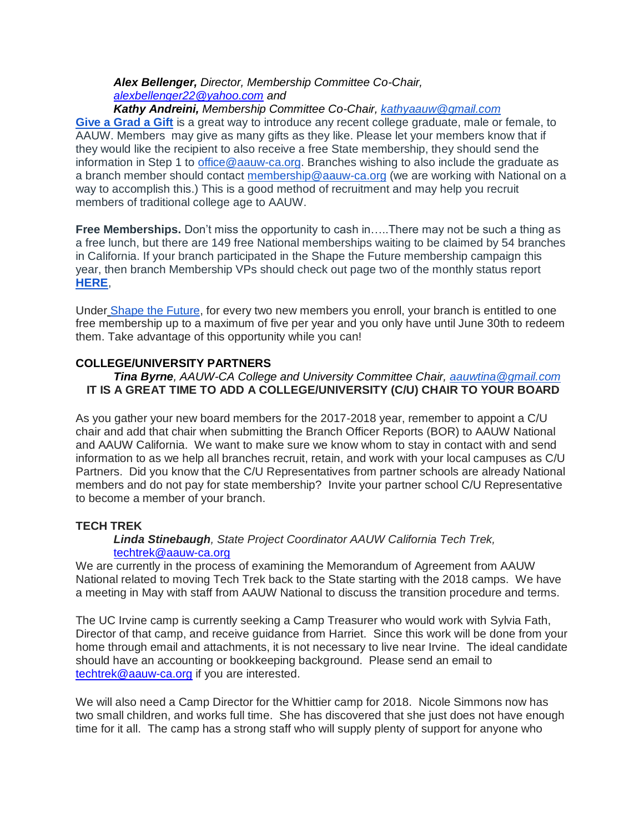# *Alex Bellenger, Director, Membership Committee Co-Chair, [alexbellenger22@yahoo.com](mailto:alexbellenger22@yahoo.com) and*

### *Kathy Andreini, Membership Committee Co-Chair, [kathyaauw@gmail.com](mailto:kathyaauw@gmail.com)*

**[Give a Grad a Gift](http://www.aauw.org/resource/give-a-grad-a-gift/)** is a great way to introduce any recent college graduate, male or female, to AAUW. Members may give as many gifts as they like. Please let your members know that if they would like the recipient to also receive a free State membership, they should send the information in Step 1 to [office@aauw-ca.org.](mailto:office@aauw-ca.org) Branches wishing to also include the graduate as a branch member should contact [membership@aauw-ca.org](mailto:membership@aauw-ca.org) (we are working with National on a way to accomplish this.) This is a good method of recruitment and may help you recruit members of traditional college age to AAUW.

**Free Memberships.** Don't miss the opportunity to cash in…..There may not be such a thing as a free lunch, but there are 149 free National memberships waiting to be claimed by 54 branches in California. If your branch participated in the Shape the Future membership campaign this year, then branch Membership VPs should check out page two of the monthly status report **[HERE](http://www.aauw.org/files/2017/05/Shape-the-Future-May-17-Status-report.pdf)**,

Under [Shape the Future,](http://www.aauw.org/resource/shape-the-future-membership-campaign/) for every two new members you enroll, your branch is entitled to one free membership up to a maximum of five per year and you only have until June 30th to redeem them. Take advantage of this opportunity while you can!

# **COLLEGE/UNIVERSITY PARTNERS**

# *Tina Byrne, AAUW-CA College and University Committee Chair, [aauwtina@gmail.com](mailto:aauwtina@gmail.com)* **IT IS A GREAT TIME TO ADD A COLLEGE/UNIVERSITY (C/U) CHAIR TO YOUR BOARD**

As you gather your new board members for the 2017-2018 year, remember to appoint a C/U chair and add that chair when submitting the Branch Officer Reports (BOR) to AAUW National and AAUW California. We want to make sure we know whom to stay in contact with and send information to as we help all branches recruit, retain, and work with your local campuses as C/U Partners. Did you know that the C/U Representatives from partner schools are already National members and do not pay for state membership? Invite your partner school C/U Representative to become a member of your branch.

# **TECH TREK**

### *Linda Stinebaugh, State Project Coordinator AAUW California Tech Trek,*  [techtrek@aauw-ca.org](mailto:techtrek@aauw-ca.org)

We are currently in the process of examining the Memorandum of Agreement from AAUW National related to moving Tech Trek back to the State starting with the 2018 camps. We have a meeting in May with staff from AAUW National to discuss the transition procedure and terms.

The UC Irvine camp is currently seeking a Camp Treasurer who would work with Sylvia Fath, Director of that camp, and receive guidance from Harriet. Since this work will be done from your home through email and attachments, it is not necessary to live near Irvine. The ideal candidate should have an accounting or bookkeeping background. Please send an email to [techtrek@aauw-ca.org](mailto:techtrek@aauw-ca.org) if you are interested.

We will also need a Camp Director for the Whittier camp for 2018. Nicole Simmons now has two small children, and works full time. She has discovered that she just does not have enough time for it all. The camp has a strong staff who will supply plenty of support for anyone who